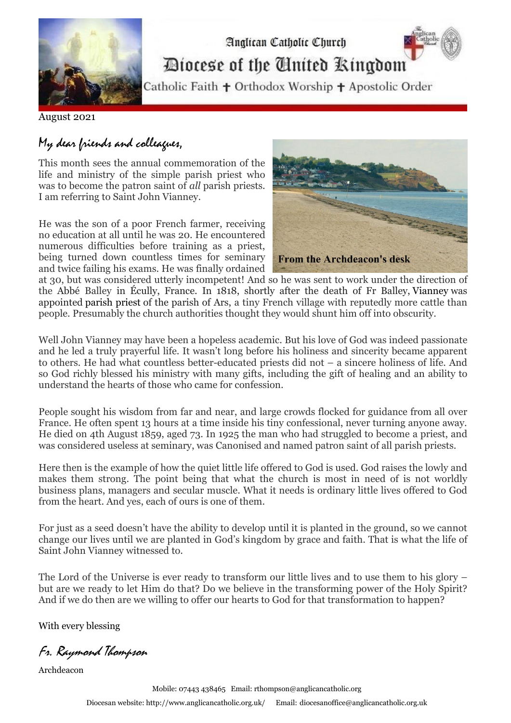

Diocese of the Cinited Ringdom

Analican Catholic Church

Catholic Faith + Orthodox Worship + Apostolic Order

August 2021

# My dear friends and colleagues,

This month sees the annual commemoration of the life and ministry of the simple parish priest who was to become the patron saint of *all* parish priests. I am referring to Saint John Vianney.

He was the son of a poor French farmer, receiving no education at all until he was 20. He encountered numerous difficulties before training as a priest, being turned down countless times for seminary and twice failing his exams. He was finally ordained



at 30, but was considered utterly incompetent! And so he was sent to work under the direction of the Abbé Balley in Écully, France. In 1818, shortly after the death of Fr Balley, Vianney was appointed [parish priest](https://en.wikipedia.org/wiki/Parish_priest) of the parish of Ars, a tiny French village with reputedly more cattle than people. Presumably the church authorities thought they would shunt him off into obscurity.

Well John Vianney may have been a hopeless academic. But his love of God was indeed passionate and he led a truly prayerful life. It wasn't long before his holiness and sincerity became apparent to others. He had what countless better-educated priests did not – a sincere holiness of life. And so God richly blessed his ministry with many gifts, including the gift of healing and an ability to understand the hearts of those who came for confession.

People sought his wisdom from far and near, and large crowds flocked for guidance from all over France. He often spent 13 hours at a time inside his tiny confessional, never turning anyone away. He died on 4th August 1859, aged 73. In 1925 the man who had struggled to become a priest, and was considered useless at seminary, was Canonised and named patron saint of all parish priests.

Here then is the example of how the quiet little life offered to God is used. God raises the lowly and makes them strong. The point being that what the church is most in need of is not worldly business plans, managers and secular muscle. What it needs is ordinary little lives offered to God from the heart. And yes, each of ours is one of them.

For just as a seed doesn't have the ability to develop until it is planted in the ground, so we cannot change our lives until we are planted in God's kingdom by grace and faith. That is what the life of Saint John Vianney witnessed to.

The Lord of the Universe is ever ready to transform our little lives and to use them to his glory – but are we ready to let Him do that? Do we believe in the transforming power of the Holy Spirit? And if we do then are we willing to offer our hearts to God for that transformation to happen?

With every blessing

Fr. Raymond Thompson

Archdeacon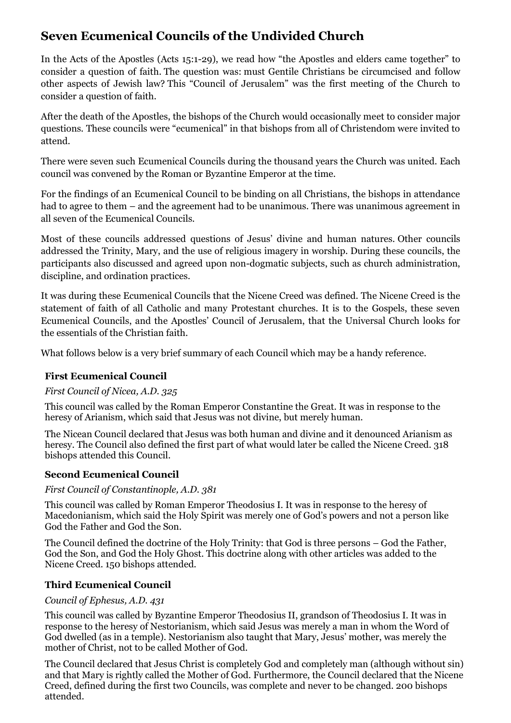## **Seven Ecumenical Councils of the Undivided Church**

In the Acts of the Apostles (Acts 15:1-29), we read how "the Apostles and elders came together" to consider a question of faith. The question was: must Gentile Christians be circumcised and follow other aspects of Jewish law? This "Council of Jerusalem" was the first meeting of the Church to consider a question of faith.

After the death of the Apostles, the bishops of the Church would occasionally meet to consider major questions. These councils were "ecumenical" in that bishops from all of Christendom were invited to attend.

There were seven such Ecumenical Councils during the thousand years the Church was united. Each council was convened by the Roman or Byzantine Emperor at the time.

For the findings of an Ecumenical Council to be binding on all Christians, the bishops in attendance had to agree to them – and the agreement had to be unanimous. There was unanimous agreement in all seven of the Ecumenical Councils.

Most of these councils addressed questions of Jesus' divine and human natures. Other councils addressed the Trinity, Mary, and the use of religious imagery in worship. During these councils, the participants also discussed and agreed upon non-dogmatic subjects, such as church administration, discipline, and ordination practices.

It was during these Ecumenical Councils that the Nicene Creed was defined. The Nicene Creed is the statement of faith of all Catholic and many Protestant churches. It is to the Gospels, these seven Ecumenical Councils, and the Apostles' Council of Jerusalem, that the Universal Church looks for the essentials of the Christian faith.

What follows below is a very brief summary of each Council which may be a handy reference.

## **First Ecumenical Council**

## *First Council of Nicea, A.D. 325*

This council was called by the Roman Emperor Constantine the Great. It was in response to the heresy of Arianism, which said that Jesus was not divine, but merely human.

The Nicean Council declared that Jesus was both human and divine and it denounced Arianism as heresy. The Council also defined the first part of what would later be called the Nicene Creed. 318 bishops attended this Council.

## **Second Ecumenical Council**

## *First Council of Constantinople, A.D. 381*

This council was called by Roman Emperor Theodosius I. It was in response to the heresy of Macedonianism, which said the Holy Spirit was merely one of God's powers and not a person like God the Father and God the Son.

The Council defined the doctrine of the Holy Trinity: that God is three persons – God the Father, God the Son, and God the Holy Ghost. This doctrine along with other articles was added to the Nicene Creed. 150 bishops attended.

## **Third Ecumenical Council**

## *Council of Ephesus, A.D. 431*

This council was called by Byzantine Emperor Theodosius II, grandson of Theodosius I. It was in response to the heresy of Nestorianism, which said Jesus was merely a man in whom the Word of God dwelled (as in a temple). Nestorianism also taught that Mary, Jesus' mother, was merely the mother of Christ, not to be called Mother of God.

The Council declared that Jesus Christ is completely God and completely man (although without sin) and that Mary is rightly called the Mother of God. Furthermore, the Council declared that the Nicene Creed, defined during the first two Councils, was complete and never to be changed. 200 bishops attended.